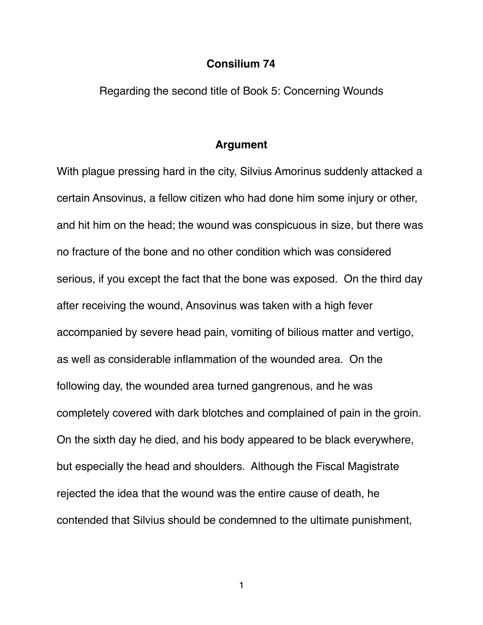### **Consilium 74**

Regarding the second title of Book 5: Concerning Wounds

### **Argument**

With plague pressing hard in the city, Silvius Amorinus suddenly attacked a certain Ansovinus, a fellow citizen who had done him some injury or other, and hit him on the head; the wound was conspicuous in size, but there was no fracture of the bone and no other condition which was considered serious, if you except the fact that the bone was exposed. On the third day after receiving the wound, Ansovinus was taken with a high fever accompanied by severe head pain, vomiting of bilious matter and vertigo, as well as considerable inflammation of the wounded area. On the following day, the wounded area turned gangrenous, and he was completely covered with dark blotches and complained of pain in the groin. On the sixth day he died, and his body appeared to be black everywhere, but especially the head and shoulders. Although the Fiscal Magistrate rejected the idea that the wound was the entire cause of death, he contended that Silvius should be condemned to the ultimate punishment,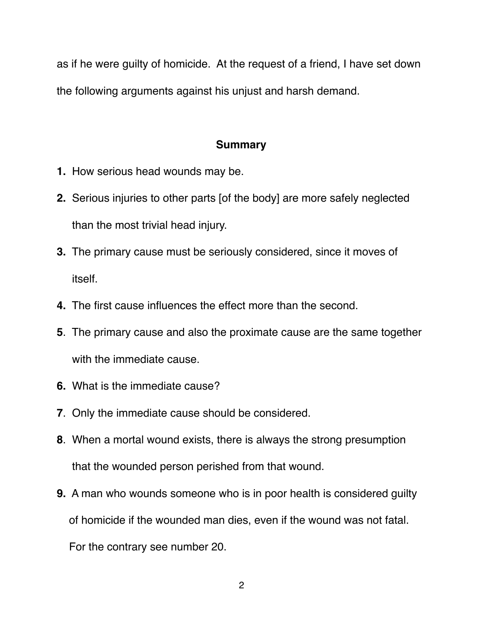as if he were guilty of homicide. At the request of a friend, I have set down the following arguments against his unjust and harsh demand.

# **Summary**

- **1.** How serious head wounds may be.
- **2.** Serious injuries to other parts [of the body] are more safely neglected than the most trivial head injury.
- **3.** The primary cause must be seriously considered, since it moves of itself.
- **4.** The first cause influences the effect more than the second.
- **5**. The primary cause and also the proximate cause are the same together with the immediate cause.
- **6.** What is the immediate cause?
- **7**. Only the immediate cause should be considered.
- **8**. When a mortal wound exists, there is always the strong presumption that the wounded person perished from that wound.
- **9.** A man who wounds someone who is in poor health is considered guilty of homicide if the wounded man dies, even if the wound was not fatal.

For the contrary see number 20.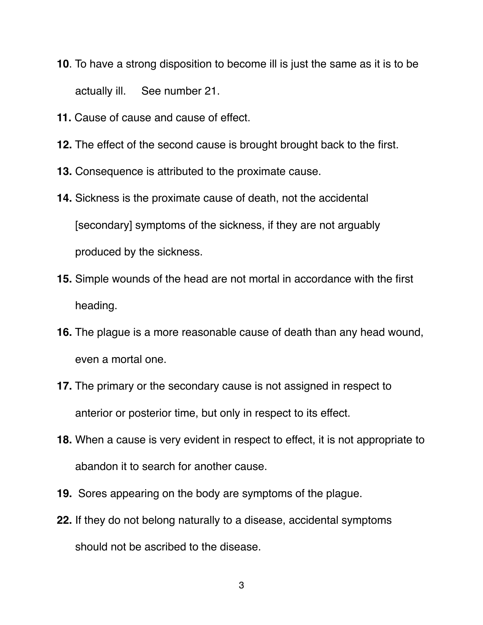- **10**. To have a strong disposition to become ill is just the same as it is to be actually ill. See number 21.
- **11.** Cause of cause and cause of effect.
- **12.** The effect of the second cause is brought brought back to the first.
- **13.** Consequence is attributed to the proximate cause.
- **14.** Sickness is the proximate cause of death, not the accidental [secondary] symptoms of the sickness, if they are not arguably produced by the sickness.
- **15.** Simple wounds of the head are not mortal in accordance with the first heading.
- **16.** The plague is a more reasonable cause of death than any head wound, even a mortal one.
- **17.** The primary or the secondary cause is not assigned in respect to anterior or posterior time, but only in respect to its effect.
- **18.** When a cause is very evident in respect to effect, it is not appropriate to abandon it to search for another cause.
- **19.** Sores appearing on the body are symptoms of the plague.
- **22.** If they do not belong naturally to a disease, accidental symptoms should not be ascribed to the disease.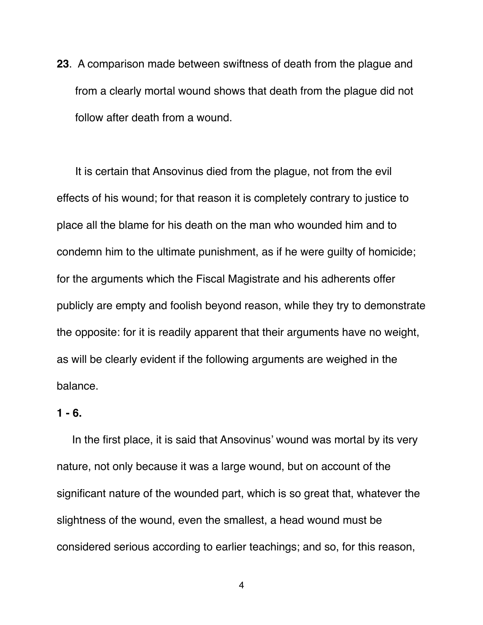**23**. A comparison made between swiftness of death from the plague and from a clearly mortal wound shows that death from the plague did not follow after death from a wound.

 It is certain that Ansovinus died from the plague, not from the evil effects of his wound; for that reason it is completely contrary to justice to place all the blame for his death on the man who wounded him and to condemn him to the ultimate punishment, as if he were guilty of homicide; for the arguments which the Fiscal Magistrate and his adherents offer publicly are empty and foolish beyond reason, while they try to demonstrate the opposite: for it is readily apparent that their arguments have no weight, as will be clearly evident if the following arguments are weighed in the balance.

## **1 - 6.**

 In the first place, it is said that Ansovinus' wound was mortal by its very nature, not only because it was a large wound, but on account of the significant nature of the wounded part, which is so great that, whatever the slightness of the wound, even the smallest, a head wound must be considered serious according to earlier teachings; and so, for this reason,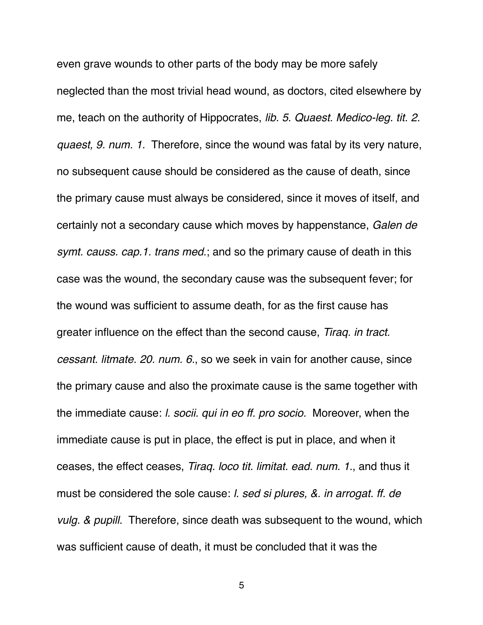even grave wounds to other parts of the body may be more safely neglected than the most trivial head wound, as doctors, cited elsewhere by me, teach on the authority of Hippocrates, *lib. 5*. *Quaest. Medico-leg. tit. 2. quaest, 9. num. 1.* Therefore, since the wound was fatal by its very nature, no subsequent cause should be considered as the cause of death, since the primary cause must always be considered, since it moves of itself, and certainly not a secondary cause which moves by happenstance, *Galen de symt. causs. cap.1. trans med*.; and so the primary cause of death in this case was the wound, the secondary cause was the subsequent fever; for the wound was sufficient to assume death, for as the first cause has greater influence on the effect than the second cause, *Tiraq. in tract. cessant. litmate. 20. num. 6.*, so we seek in vain for another cause, since the primary cause and also the proximate cause is the same together with the immediate cause: *l. socii. qui in eo ff. pro socio.* Moreover, when the immediate cause is put in place, the effect is put in place, and when it ceases, the effect ceases, *Tiraq. loco tit. limitat. ead. num. 1.*, and thus it must be considered the sole cause: *l. sed si plures, &. in arrogat. ff. de vulg. & pupill.* Therefore, since death was subsequent to the wound, which was sufficient cause of death, it must be concluded that it was the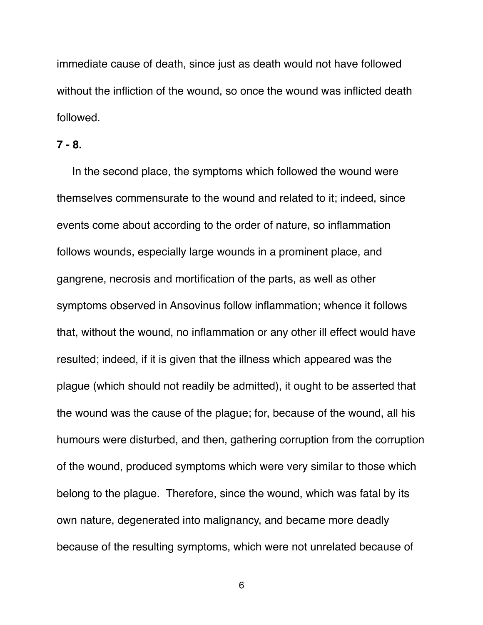immediate cause of death, since just as death would not have followed without the infliction of the wound, so once the wound was inflicted death followed.

### **7 - 8.**

In the second place, the symptoms which followed the wound were themselves commensurate to the wound and related to it; indeed, since events come about according to the order of nature, so inflammation follows wounds, especially large wounds in a prominent place, and gangrene, necrosis and mortification of the parts, as well as other symptoms observed in Ansovinus follow inflammation; whence it follows that, without the wound, no inflammation or any other ill effect would have resulted; indeed, if it is given that the illness which appeared was the plague (which should not readily be admitted), it ought to be asserted that the wound was the cause of the plague; for, because of the wound, all his humours were disturbed, and then, gathering corruption from the corruption of the wound, produced symptoms which were very similar to those which belong to the plague. Therefore, since the wound, which was fatal by its own nature, degenerated into malignancy, and became more deadly because of the resulting symptoms, which were not unrelated because of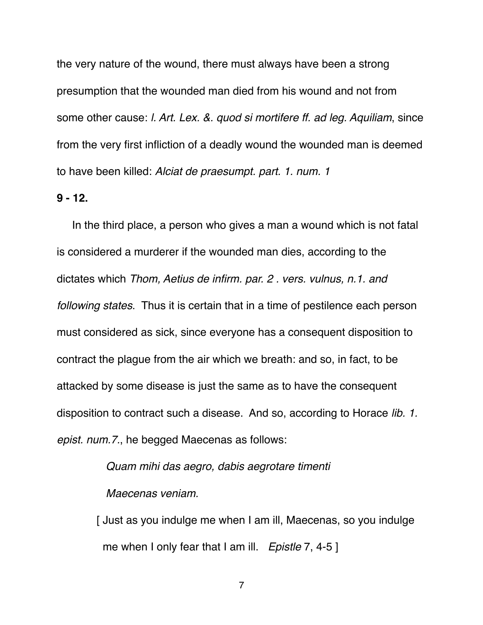the very nature of the wound, there must always have been a strong presumption that the wounded man died from his wound and not from some other cause: *l. Art. Lex. &. quod si mortifere ff. ad leg. Aquiliam*, since from the very first infliction of a deadly wound the wounded man is deemed to have been killed: *Alciat de praesumpt. part. 1. num. 1*

#### **9 - 12.**

In the third place, a person who gives a man a wound which is not fatal is considered a murderer if the wounded man dies, according to the dictates which *Thom, Aetius de infirm. par. 2 . vers. vulnus, n.1. and following states*. Thus it is certain that in a time of pestilence each person must considered as sick, since everyone has a consequent disposition to contract the plague from the air which we breath: and so, in fact, to be attacked by some disease is just the same as to have the consequent disposition to contract such a disease. And so, according to Horace *lib. 1. epist. num.7.*, he begged Maecenas as follows:

> *Quam mihi das aegro, dabis aegrotare timenti Maecenas veniam.*

 [ Just as you indulge me when I am ill, Maecenas, so you indulge me when I only fear that I am ill. *Epistle* 7, 4-5 ]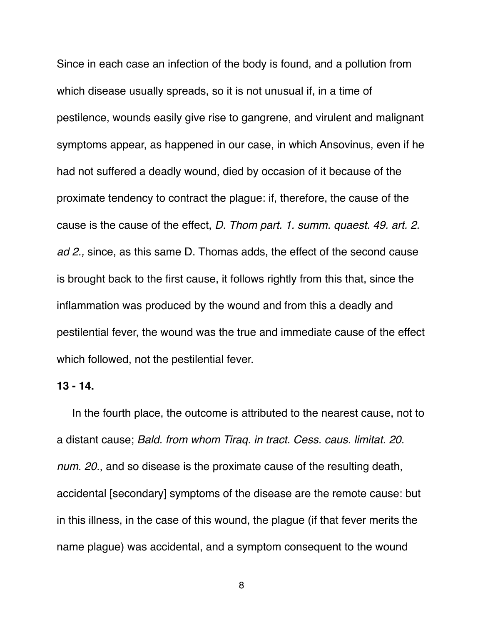Since in each case an infection of the body is found, and a pollution from which disease usually spreads, so it is not unusual if, in a time of pestilence, wounds easily give rise to gangrene, and virulent and malignant symptoms appear, as happened in our case, in which Ansovinus, even if he had not suffered a deadly wound, died by occasion of it because of the proximate tendency to contract the plague: if, therefore, the cause of the cause is the cause of the effect, *D. Thom part. 1. summ. quaest. 49. art. 2. ad 2.,* since, as this same D. Thomas adds, the effect of the second cause is brought back to the first cause, it follows rightly from this that, since the inflammation was produced by the wound and from this a deadly and pestilential fever, the wound was the true and immediate cause of the effect which followed, not the pestilential fever.

### **13 - 14.**

In the fourth place, the outcome is attributed to the nearest cause, not to a distant cause; *Bald. from whom Tiraq. in tract. Cess. caus. limitat. 20. num. 20.*, and so disease is the proximate cause of the resulting death, accidental [secondary] symptoms of the disease are the remote cause: but in this illness, in the case of this wound, the plague (if that fever merits the name plague) was accidental, and a symptom consequent to the wound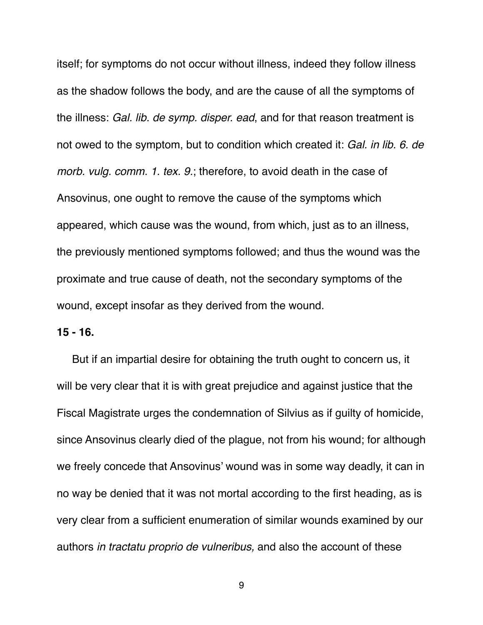itself; for symptoms do not occur without illness, indeed they follow illness as the shadow follows the body, and are the cause of all the symptoms of the illness: *Gal. lib. de symp. disper. ead*, and for that reason treatment is not owed to the symptom, but to condition which created it: *Gal. in lib. 6. de morb. vulg. comm. 1. tex. 9.*; therefore, to avoid death in the case of Ansovinus, one ought to remove the cause of the symptoms which appeared, which cause was the wound, from which, just as to an illness, the previously mentioned symptoms followed; and thus the wound was the proximate and true cause of death, not the secondary symptoms of the wound, except insofar as they derived from the wound.

### **15 - 16.**

 But if an impartial desire for obtaining the truth ought to concern us, it will be very clear that it is with great prejudice and against justice that the Fiscal Magistrate urges the condemnation of Silvius as if guilty of homicide, since Ansovinus clearly died of the plague, not from his wound; for although we freely concede that Ansovinus' wound was in some way deadly, it can in no way be denied that it was not mortal according to the first heading, as is very clear from a sufficient enumeration of similar wounds examined by our authors *in tractatu proprio de vulneribus,* and also the account of these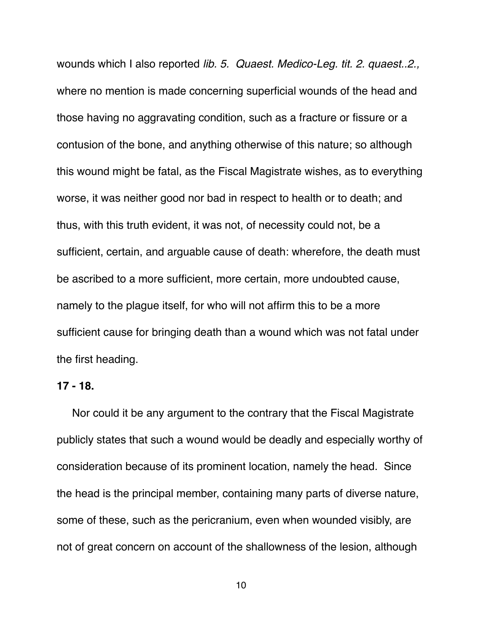wounds which I also reported *lib. 5. Quaest. Medico-Leg. tit. 2. quaest..2.,* where no mention is made concerning superficial wounds of the head and those having no aggravating condition, such as a fracture or fissure or a contusion of the bone, and anything otherwise of this nature; so although this wound might be fatal, as the Fiscal Magistrate wishes, as to everything worse, it was neither good nor bad in respect to health or to death; and thus, with this truth evident, it was not, of necessity could not, be a sufficient, certain, and arguable cause of death: wherefore, the death must be ascribed to a more sufficient, more certain, more undoubted cause, namely to the plague itself, for who will not affirm this to be a more sufficient cause for bringing death than a wound which was not fatal under the first heading.

#### **17 - 18.**

 Nor could it be any argument to the contrary that the Fiscal Magistrate publicly states that such a wound would be deadly and especially worthy of consideration because of its prominent location, namely the head. Since the head is the principal member, containing many parts of diverse nature, some of these, such as the pericranium, even when wounded visibly, are not of great concern on account of the shallowness of the lesion, although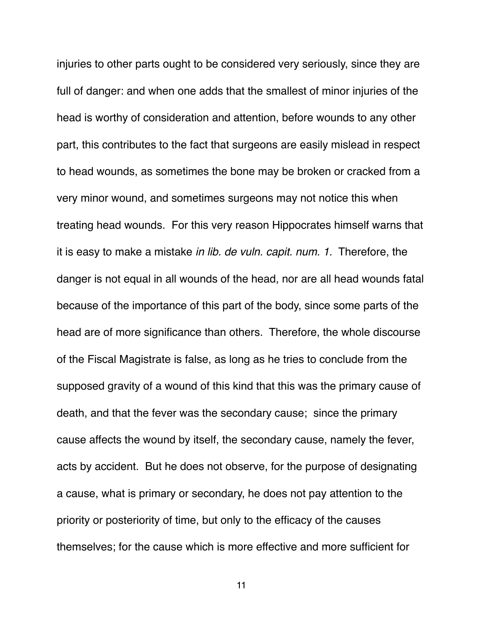injuries to other parts ought to be considered very seriously, since they are full of danger: and when one adds that the smallest of minor injuries of the head is worthy of consideration and attention, before wounds to any other part, this contributes to the fact that surgeons are easily mislead in respect to head wounds, as sometimes the bone may be broken or cracked from a very minor wound, and sometimes surgeons may not notice this when treating head wounds. For this very reason Hippocrates himself warns that it is easy to make a mistake *in lib. de vuln. capit. num. 1.* Therefore, the danger is not equal in all wounds of the head, nor are all head wounds fatal because of the importance of this part of the body, since some parts of the head are of more significance than others. Therefore, the whole discourse of the Fiscal Magistrate is false, as long as he tries to conclude from the supposed gravity of a wound of this kind that this was the primary cause of death, and that the fever was the secondary cause; since the primary cause affects the wound by itself, the secondary cause, namely the fever, acts by accident. But he does not observe, for the purpose of designating a cause, what is primary or secondary, he does not pay attention to the priority or posteriority of time, but only to the efficacy of the causes themselves; for the cause which is more effective and more sufficient for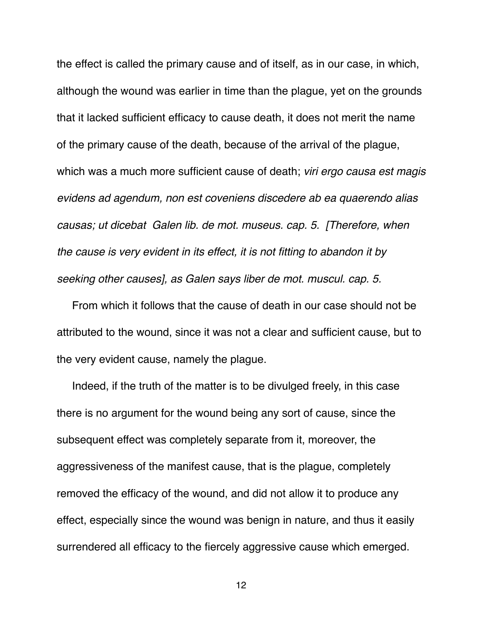the effect is called the primary cause and of itself, as in our case, in which, although the wound was earlier in time than the plague, yet on the grounds that it lacked sufficient efficacy to cause death, it does not merit the name of the primary cause of the death, because of the arrival of the plague, which was a much more sufficient cause of death; *viri ergo causa est magis evidens ad agendum, non est coveniens discedere ab ea quaerendo alias causas; ut dicebat Galen lib. de mot. museus. cap. 5. [Therefore, when the cause is very evident in its effect, it is not fitting to abandon it by seeking other causes], as Galen says liber de mot. muscul. cap. 5.*

 From which it follows that the cause of death in our case should not be attributed to the wound, since it was not a clear and sufficient cause, but to the very evident cause, namely the plague.

 Indeed, if the truth of the matter is to be divulged freely, in this case there is no argument for the wound being any sort of cause, since the subsequent effect was completely separate from it, moreover, the aggressiveness of the manifest cause, that is the plague, completely removed the efficacy of the wound, and did not allow it to produce any effect, especially since the wound was benign in nature, and thus it easily surrendered all efficacy to the fiercely aggressive cause which emerged.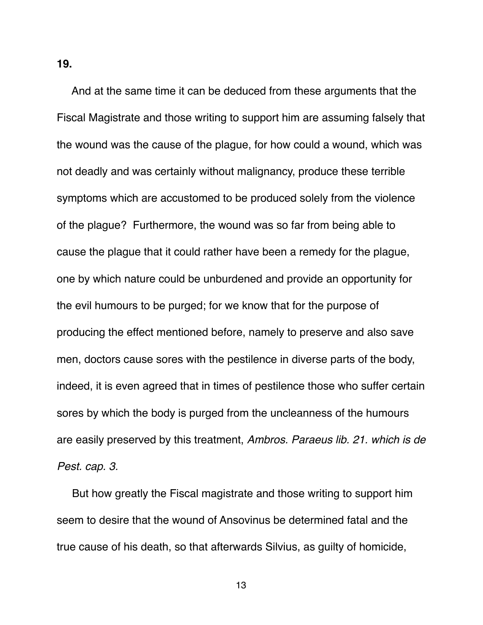**19.**

And at the same time it can be deduced from these arguments that the Fiscal Magistrate and those writing to support him are assuming falsely that the wound was the cause of the plague, for how could a wound, which was not deadly and was certainly without malignancy, produce these terrible symptoms which are accustomed to be produced solely from the violence of the plague? Furthermore, the wound was so far from being able to cause the plague that it could rather have been a remedy for the plague, one by which nature could be unburdened and provide an opportunity for the evil humours to be purged; for we know that for the purpose of producing the effect mentioned before, namely to preserve and also save men, doctors cause sores with the pestilence in diverse parts of the body, indeed, it is even agreed that in times of pestilence those who suffer certain sores by which the body is purged from the uncleanness of the humours are easily preserved by this treatment, *Ambros. Paraeus lib. 21. which is de Pest. cap. 3.* 

But how greatly the Fiscal magistrate and those writing to support him seem to desire that the wound of Ansovinus be determined fatal and the true cause of his death, so that afterwards Silvius, as guilty of homicide,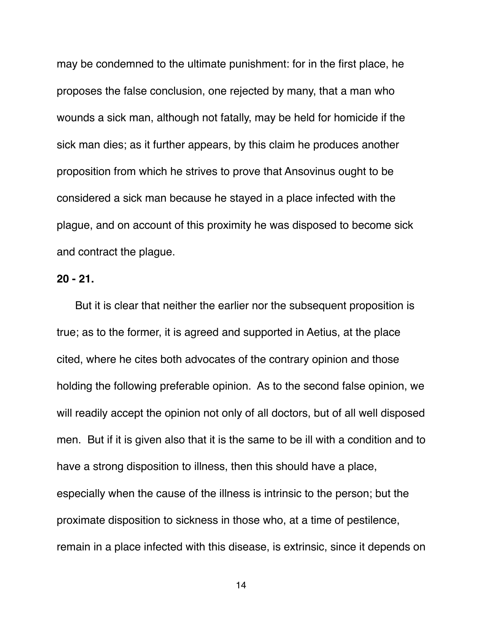may be condemned to the ultimate punishment: for in the first place, he proposes the false conclusion, one rejected by many, that a man who wounds a sick man, although not fatally, may be held for homicide if the sick man dies; as it further appears, by this claim he produces another proposition from which he strives to prove that Ansovinus ought to be considered a sick man because he stayed in a place infected with the plague, and on account of this proximity he was disposed to become sick and contract the plague.

### **20 - 21.**

 But it is clear that neither the earlier nor the subsequent proposition is true; as to the former, it is agreed and supported in Aetius, at the place cited, where he cites both advocates of the contrary opinion and those holding the following preferable opinion. As to the second false opinion, we will readily accept the opinion not only of all doctors, but of all well disposed men. But if it is given also that it is the same to be ill with a condition and to have a strong disposition to illness, then this should have a place, especially when the cause of the illness is intrinsic to the person; but the proximate disposition to sickness in those who, at a time of pestilence, remain in a place infected with this disease, is extrinsic, since it depends on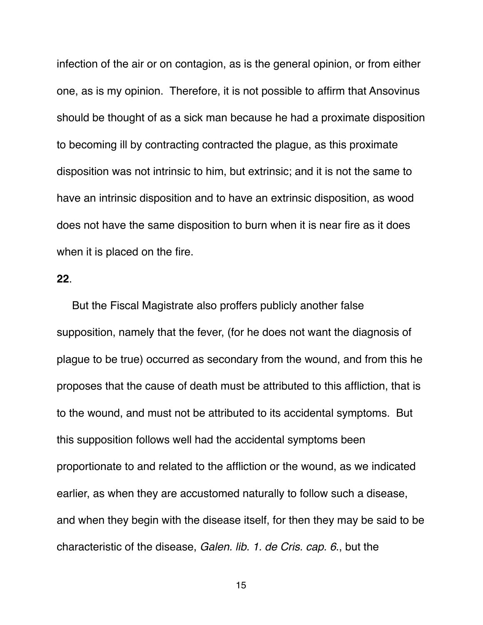infection of the air or on contagion, as is the general opinion, or from either one, as is my opinion. Therefore, it is not possible to affirm that Ansovinus should be thought of as a sick man because he had a proximate disposition to becoming ill by contracting contracted the plague, as this proximate disposition was not intrinsic to him, but extrinsic; and it is not the same to have an intrinsic disposition and to have an extrinsic disposition, as wood does not have the same disposition to burn when it is near fire as it does when it is placed on the fire.

## **22**.

 But the Fiscal Magistrate also proffers publicly another false supposition, namely that the fever, (for he does not want the diagnosis of plague to be true) occurred as secondary from the wound, and from this he proposes that the cause of death must be attributed to this affliction, that is to the wound, and must not be attributed to its accidental symptoms. But this supposition follows well had the accidental symptoms been proportionate to and related to the affliction or the wound, as we indicated earlier, as when they are accustomed naturally to follow such a disease, and when they begin with the disease itself, for then they may be said to be characteristic of the disease, *Galen. lib. 1. de Cris. cap. 6*., but the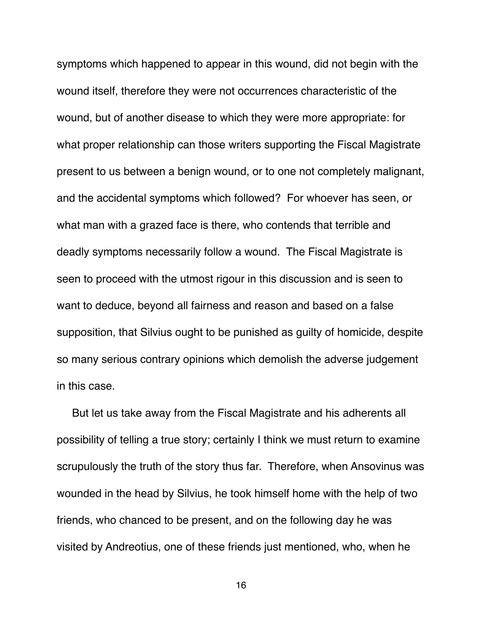symptoms which happened to appear in this wound, did not begin with the wound itself, therefore they were not occurrences characteristic of the wound, but of another disease to which they were more appropriate: for what proper relationship can those writers supporting the Fiscal Magistrate present to us between a benign wound, or to one not completely malignant, and the accidental symptoms which followed? For whoever has seen, or what man with a grazed face is there, who contends that terrible and deadly symptoms necessarily follow a wound. The Fiscal Magistrate is seen to proceed with the utmost rigour in this discussion and is seen to want to deduce, beyond all fairness and reason and based on a false supposition, that Silvius ought to be punished as guilty of homicide, despite so many serious contrary opinions which demolish the adverse judgement in this case.

 But let us take away from the Fiscal Magistrate and his adherents all possibility of telling a true story; certainly I think we must return to examine scrupulously the truth of the story thus far. Therefore, when Ansovinus was wounded in the head by Silvius, he took himself home with the help of two friends, who chanced to be present, and on the following day he was visited by Andreotius, one of these friends just mentioned, who, when he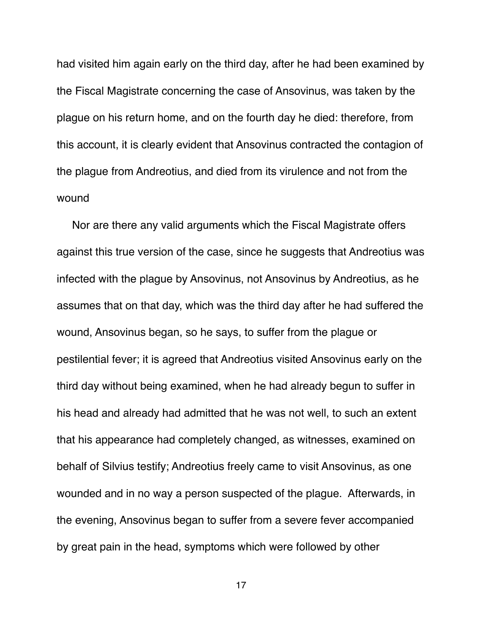had visited him again early on the third day, after he had been examined by the Fiscal Magistrate concerning the case of Ansovinus, was taken by the plague on his return home, and on the fourth day he died: therefore, from this account, it is clearly evident that Ansovinus contracted the contagion of the plague from Andreotius, and died from its virulence and not from the wound

 Nor are there any valid arguments which the Fiscal Magistrate offers against this true version of the case, since he suggests that Andreotius was infected with the plague by Ansovinus, not Ansovinus by Andreotius, as he assumes that on that day, which was the third day after he had suffered the wound, Ansovinus began, so he says, to suffer from the plague or pestilential fever; it is agreed that Andreotius visited Ansovinus early on the third day without being examined, when he had already begun to suffer in his head and already had admitted that he was not well, to such an extent that his appearance had completely changed, as witnesses, examined on behalf of Silvius testify; Andreotius freely came to visit Ansovinus, as one wounded and in no way a person suspected of the plague. Afterwards, in the evening, Ansovinus began to suffer from a severe fever accompanied by great pain in the head, symptoms which were followed by other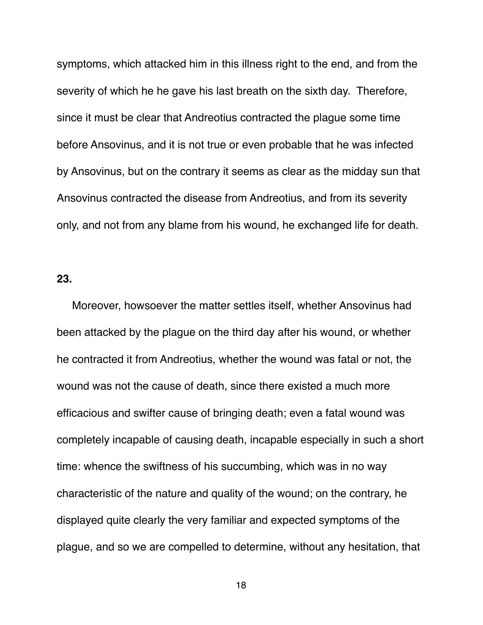symptoms, which attacked him in this illness right to the end, and from the severity of which he he gave his last breath on the sixth day. Therefore, since it must be clear that Andreotius contracted the plague some time before Ansovinus, and it is not true or even probable that he was infected by Ansovinus, but on the contrary it seems as clear as the midday sun that Ansovinus contracted the disease from Andreotius, and from its severity only, and not from any blame from his wound, he exchanged life for death.

## **23.**

Moreover, howsoever the matter settles itself, whether Ansovinus had been attacked by the plague on the third day after his wound, or whether he contracted it from Andreotius, whether the wound was fatal or not, the wound was not the cause of death, since there existed a much more efficacious and swifter cause of bringing death; even a fatal wound was completely incapable of causing death, incapable especially in such a short time: whence the swiftness of his succumbing, which was in no way characteristic of the nature and quality of the wound; on the contrary, he displayed quite clearly the very familiar and expected symptoms of the plague, and so we are compelled to determine, without any hesitation, that